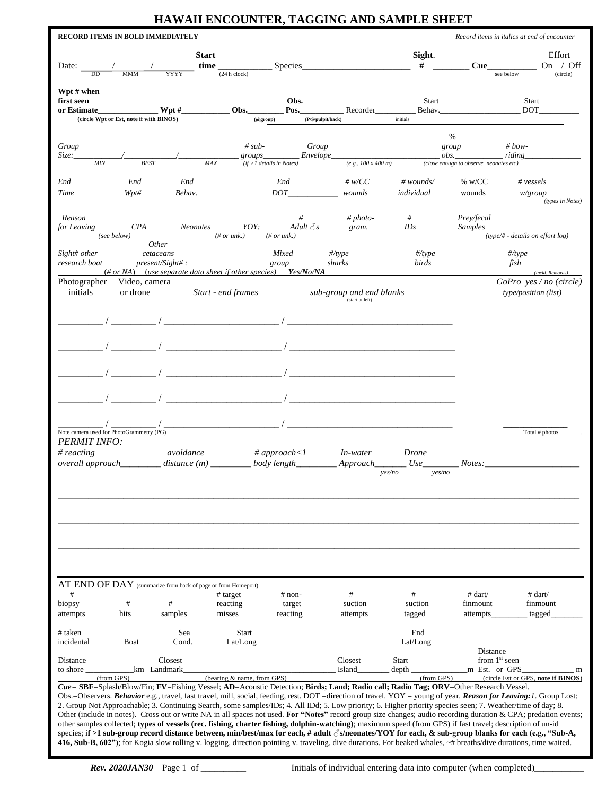## **HAWAII ENCOUNTER, TAGGING AND SAMPLE SHEET**

|                                         | RECORD ITEMS IN BOLD IMMEDIATELY          |              |                                                                      |                                                             |                                                                                                                                                                                                                                                                                                    |                                                           |                                                                    | Record items in italics at end of encounter                                                                                                                                                                                                                                                                                         |
|-----------------------------------------|-------------------------------------------|--------------|----------------------------------------------------------------------|-------------------------------------------------------------|----------------------------------------------------------------------------------------------------------------------------------------------------------------------------------------------------------------------------------------------------------------------------------------------------|-----------------------------------------------------------|--------------------------------------------------------------------|-------------------------------------------------------------------------------------------------------------------------------------------------------------------------------------------------------------------------------------------------------------------------------------------------------------------------------------|
| Date:<br><b>DD</b>                      |                                           | YYYY         | <b>Start</b><br>time<br>(24 h clock)                                 |                                                             | Species                                                                                                                                                                                                                                                                                            | Sight.<br>#                                               | <b>Cue</b>                                                         | Effort<br>/ Off<br>On<br>see below<br>(circle)                                                                                                                                                                                                                                                                                      |
| Wpt # when<br>first seen<br>or Estimate | (circle Wpt or Est, note if with BINOS)   |              | $Wpt \#$ Obs.                                                        | Obs.<br>Pos.<br>$(@$ group)                                 | Recorder<br>(P/S/pulpit/back)                                                                                                                                                                                                                                                                      | Start<br>initials                                         | Behav.                                                             | Start<br><b>DOT</b>                                                                                                                                                                                                                                                                                                                 |
|                                         |                                           |              |                                                                      |                                                             |                                                                                                                                                                                                                                                                                                    |                                                           | %                                                                  |                                                                                                                                                                                                                                                                                                                                     |
| Group<br>Size:_<br><b>MIN</b>           | <b>BEST</b>                               |              | $# sub-$<br>MAX                                                      | groups___________Envelope___<br>$(if > 1$ details in Notes) | Group<br>$(e.g., 100 \times 400 \, m)$                                                                                                                                                                                                                                                             |                                                           | group<br>$\partial bs$ .<br>(close enough to observe neonates etc) | # $bow-$<br>$-$ riding                                                                                                                                                                                                                                                                                                              |
| End<br>Time                             | End<br>$Wpt\#$                            | End          | Behav.                                                               | End<br>DOT                                                  | # w/CC<br>wounds                                                                                                                                                                                                                                                                                   | # $wounds$<br>individual                                  | % w/CC<br>wounds                                                   | $\#$ vessels<br>$-w/group$<br>(types in Notes)                                                                                                                                                                                                                                                                                      |
| Reason                                  |                                           |              |                                                                      |                                                             | # $photo-$<br>$for\, leaving \_\_CPA \_\_Neonates \_\_YOY: \_\_Adult \, \delta s \_\_gram \_\_IDs \_\_IDs$                                                                                                                                                                                         | #                                                         | Prey/fecal<br><i>Samples</i>                                       |                                                                                                                                                                                                                                                                                                                                     |
|                                         | (see below)<br><i>Other</i>               |              | $(\# or$ unk.)                                                       | $(\# or$ unk.)                                              |                                                                                                                                                                                                                                                                                                    |                                                           |                                                                    | (type/# - details on effort $log$ )                                                                                                                                                                                                                                                                                                 |
|                                         |                                           |              |                                                                      |                                                             | $(\text{\# or NA})$ (use separate data sheet if other species) Yes/No/NA                                                                                                                                                                                                                           |                                                           |                                                                    | (incld. Remoras)                                                                                                                                                                                                                                                                                                                    |
| initials                                | Photographer Video, camera<br>or drone    |              | Start - end frames                                                   |                                                             | sub-group and end blanks<br>(start at left)                                                                                                                                                                                                                                                        |                                                           |                                                                    | $GoPro$ yes / no (circle)<br>type/position (list)                                                                                                                                                                                                                                                                                   |
|                                         |                                           |              |                                                                      |                                                             |                                                                                                                                                                                                                                                                                                    |                                                           |                                                                    |                                                                                                                                                                                                                                                                                                                                     |
|                                         |                                           |              |                                                                      |                                                             |                                                                                                                                                                                                                                                                                                    |                                                           |                                                                    |                                                                                                                                                                                                                                                                                                                                     |
|                                         |                                           |              |                                                                      |                                                             |                                                                                                                                                                                                                                                                                                    |                                                           |                                                                    |                                                                                                                                                                                                                                                                                                                                     |
|                                         |                                           |              |                                                                      |                                                             |                                                                                                                                                                                                                                                                                                    |                                                           |                                                                    |                                                                                                                                                                                                                                                                                                                                     |
| <b>PERMIT INFO:</b>                     | Note camera used for PhotoGrammetry (PG). |              |                                                                      |                                                             |                                                                                                                                                                                                                                                                                                    |                                                           |                                                                    | Total $#$ photos                                                                                                                                                                                                                                                                                                                    |
| $#$ reacting                            |                                           | avoidance    | overall approach_________ distance (m) _________ body length________ | # approach<1                                                | <i>In-water</i>                                                                                                                                                                                                                                                                                    | <i>Drone</i><br>Approach__________ Use____________Notes:_ |                                                                    |                                                                                                                                                                                                                                                                                                                                     |
|                                         |                                           |              |                                                                      |                                                             |                                                                                                                                                                                                                                                                                                    | yes/no<br>yes/no                                          |                                                                    |                                                                                                                                                                                                                                                                                                                                     |
|                                         |                                           |              |                                                                      |                                                             |                                                                                                                                                                                                                                                                                                    |                                                           |                                                                    |                                                                                                                                                                                                                                                                                                                                     |
|                                         |                                           |              |                                                                      |                                                             |                                                                                                                                                                                                                                                                                                    |                                                           |                                                                    |                                                                                                                                                                                                                                                                                                                                     |
|                                         |                                           |              | AT END OF DAY (summarize from back of page or from Homeport)         |                                                             |                                                                                                                                                                                                                                                                                                    |                                                           |                                                                    |                                                                                                                                                                                                                                                                                                                                     |
| $^{\#}$<br>biopsy                       | $\#$                                      | #            | # target<br>reacting                                                 | $\#$ non-<br>target                                         | #<br>suction                                                                                                                                                                                                                                                                                       | #<br>suction                                              | # dart/<br>finmount                                                | # dart/<br>finmount                                                                                                                                                                                                                                                                                                                 |
| attempts_                               | hits                                      | samples      | misses                                                               | reacting                                                    | attempts                                                                                                                                                                                                                                                                                           | tagged                                                    | attempts                                                           | tagged                                                                                                                                                                                                                                                                                                                              |
| # taken<br>incidental                   | Boat                                      | Sea<br>Cond. | Start<br>Lat/Long                                                    |                                                             |                                                                                                                                                                                                                                                                                                    | End<br>Lat/Long                                           |                                                                    |                                                                                                                                                                                                                                                                                                                                     |
| Distance<br>to shore                    | km Landmark                               | Closest      |                                                                      |                                                             | Closest<br>Island                                                                                                                                                                                                                                                                                  | <b>Start</b><br>depth                                     | Distance<br>from 1 <sup>st</sup> seen<br>m Est. or GPS             | m                                                                                                                                                                                                                                                                                                                                   |
|                                         | (from GPS)                                |              | (bearing & name, from GPS)                                           |                                                             | Cue = SBF=Splash/Blow/Fin; FV=Fishing Vessel; AD=Acoustic Detection; Birds; Land; Radio call; Radio Tag; ORV=Other Research Vessel.<br>2. Group Not Approachable; 3. Continuing Search, some samples/IDs; 4. All IDd; 5. Low priority; 6. Higher priority species seen; 7. Weather/time of day; 8. | (from GPS)                                                |                                                                    | (circle Est or GPS, note if BINOS)<br>Obs.=Observers. Behavior e.g., travel, fast travel, mill, social, feeding, rest. DOT =direction of travel. YOY = young of year. Reason for Leaving: 1. Group Lost;                                                                                                                            |
|                                         |                                           |              |                                                                      |                                                             | other samples collected; types of vessels (rec. fishing, charter fishing, dolphin-watching); maximum speed (from GPS) if fast travel; description of un-id                                                                                                                                         |                                                           |                                                                    | Other (include in notes). Cross out or write NA in all spaces not used. For "Notes" record group size changes; audio recording duration & CPA; predation events;<br>species; if >1 sub-group record distance between, min/best/max for each, # adult $\sqrt{2}$ s/neonates/YOY for each, & sub-group blanks for each (e.g., "Sub-A, |

**416, Sub-B, 602")**; for Kogia slow rolling v. logging, direction pointing v. traveling, dive durations. For beaked whales, ~# breaths/dive durations, time waited.